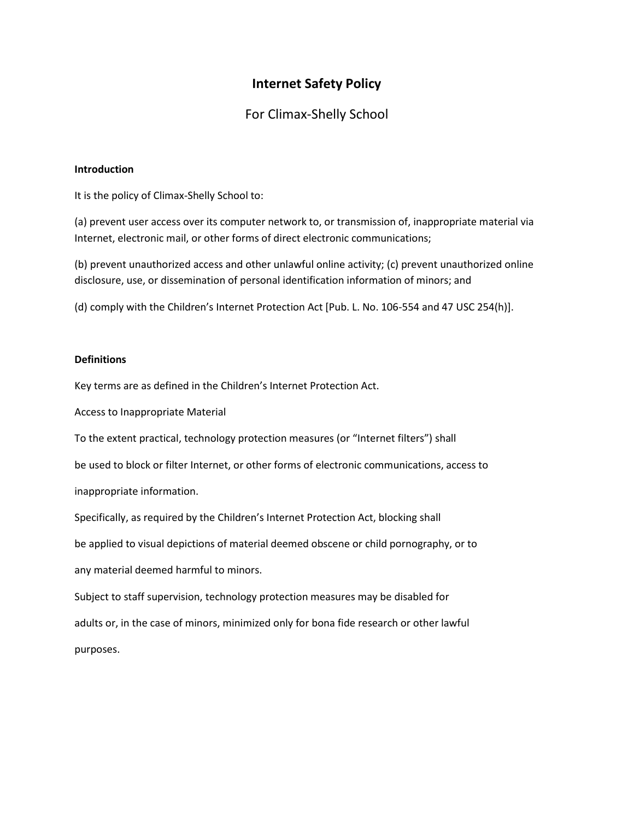# **Internet Safety Policy**

## For Climax-Shelly School

#### **Introduction**

It is the policy of Climax-Shelly School to:

(a) prevent user access over its computer network to, or transmission of, inappropriate material via Internet, electronic mail, or other forms of direct electronic communications;

(b) prevent unauthorized access and other unlawful online activity; (c) prevent unauthorized online disclosure, use, or dissemination of personal identification information of minors; and

(d) comply with the Children's Internet Protection Act [Pub. L. No. 106-554 and 47 USC 254(h)].

### **Definitions**

Key terms are as defined in the Children's Internet Protection Act.

Access to Inappropriate Material

To the extent practical, technology protection measures (or "Internet filters") shall

be used to block or filter Internet, or other forms of electronic communications, access to

inappropriate information.

Specifically, as required by the Children's Internet Protection Act, blocking shall

be applied to visual depictions of material deemed obscene or child pornography, or to

any material deemed harmful to minors.

Subject to staff supervision, technology protection measures may be disabled for adults or, in the case of minors, minimized only for bona fide research or other lawful purposes.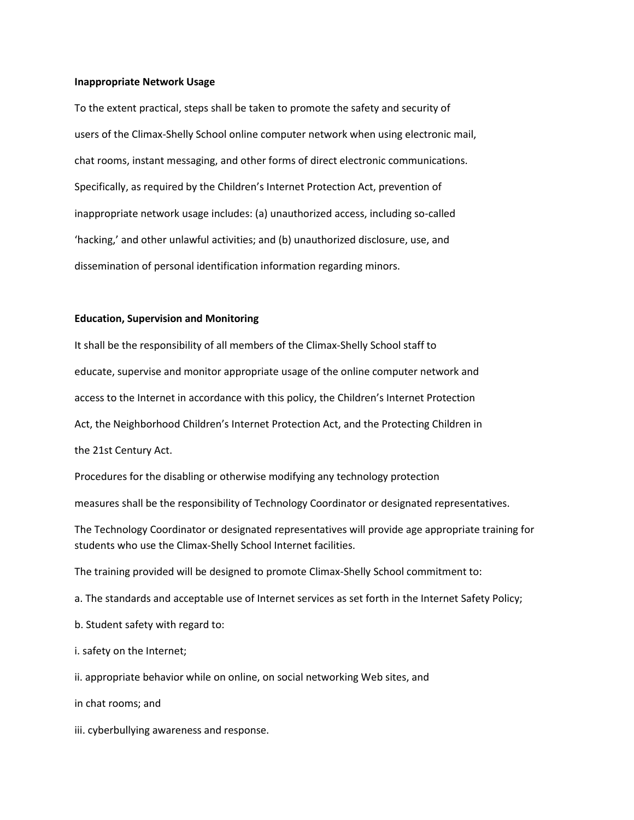#### **Inappropriate Network Usage**

To the extent practical, steps shall be taken to promote the safety and security of users of the Climax-Shelly School online computer network when using electronic mail, chat rooms, instant messaging, and other forms of direct electronic communications. Specifically, as required by the Children's Internet Protection Act, prevention of inappropriate network usage includes: (a) unauthorized access, including so-called 'hacking,' and other unlawful activities; and (b) unauthorized disclosure, use, and dissemination of personal identification information regarding minors.

### **Education, Supervision and Monitoring**

It shall be the responsibility of all members of the Climax-Shelly School staff to educate, supervise and monitor appropriate usage of the online computer network and access to the Internet in accordance with this policy, the Children's Internet Protection Act, the Neighborhood Children's Internet Protection Act, and the Protecting Children in the 21st Century Act.

Procedures for the disabling or otherwise modifying any technology protection

measures shall be the responsibility of Technology Coordinator or designated representatives.

The Technology Coordinator or designated representatives will provide age appropriate training for students who use the Climax-Shelly School Internet facilities.

The training provided will be designed to promote Climax-Shelly School commitment to:

a. The standards and acceptable use of Internet services as set forth in the Internet Safety Policy;

b. Student safety with regard to:

i. safety on the Internet;

ii. appropriate behavior while on online, on social networking Web sites, and

in chat rooms; and

iii. cyberbullying awareness and response.